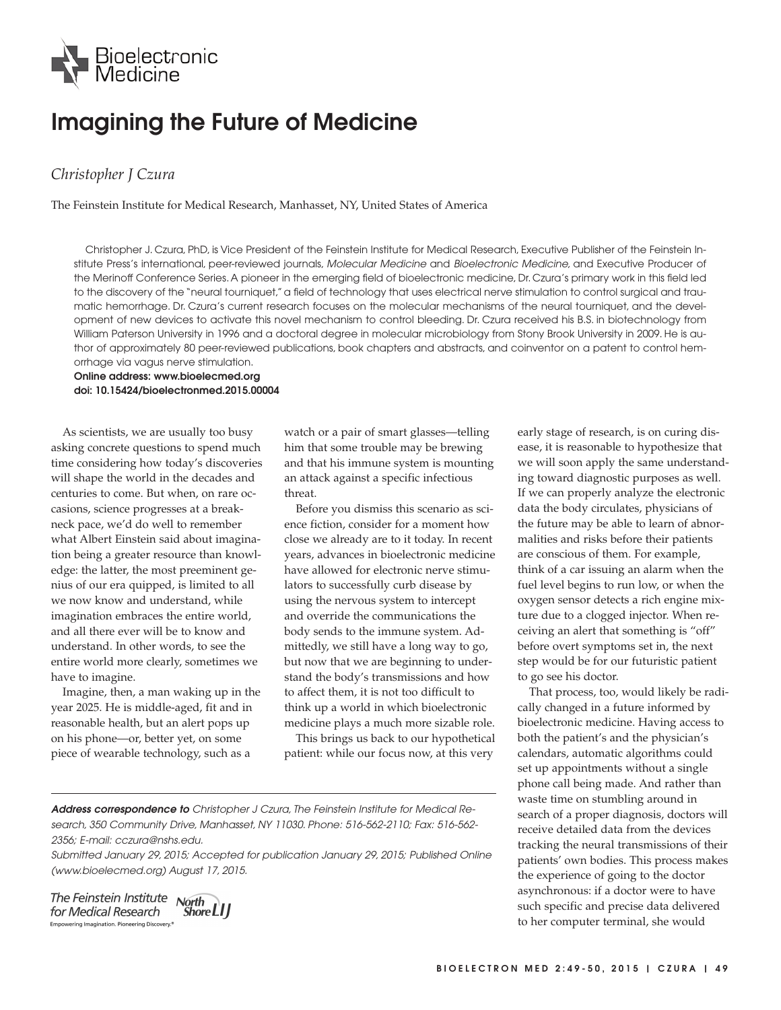

## **Imagining the Future of Medicine**

## *Christopher J Czura*

The Feinstein Institute for Medical Research, Manhasset, NY, United States of America

Christopher J. Czura, PhD, is Vice President of the Feinstein Institute for Medical Research, Executive Publisher of the Feinstein Institute Press's international, peer-reviewed journals, Molecular Medicine and Bioelectronic Medicine, and Executive Producer of the Merinoff Conference Series. A pioneer in the emerging field of bioelectronic medicine, Dr. Czura's primary work in this field led to the discovery of the "neural tourniquet," a field of technology that uses electrical nerve stimulation to control surgical and traumatic hemorrhage. Dr. Czura's current research focuses on the molecular mechanisms of the neural tourniquet, and the development of new devices to activate this novel mechanism to control bleeding. Dr. Czura received his B.S. in biotechnology from William Paterson University in 1996 and a doctoral degree in molecular microbiology from Stony Brook University in 2009. He is author of approximately 80 peer-reviewed publications, book chapters and abstracts, and coinventor on a patent to control hemorrhage via vagus nerve stimulation.

**Online address: www.bioelecmed.org doi: 10.15424/bioelectronmed.2015.00004**

As scientists, we are usually too busy asking concrete questions to spend much time considering how today's discoveries will shape the world in the decades and centuries to come. But when, on rare occasions, science progresses at a breakneck pace, we'd do well to remember what Albert Einstein said about imagination being a greater resource than knowledge: the latter, the most preeminent genius of our era quipped, is limited to all we now know and understand, while imagination embraces the entire world, and all there ever will be to know and understand. In other words, to see the entire world more clearly, sometimes we have to imagine.

Imagine, then, a man waking up in the year 2025. He is middle-aged, fit and in reasonable health, but an alert pops up on his phone—or, better yet, on some piece of wearable technology, such as a

watch or a pair of smart glasses—telling him that some trouble may be brewing and that his immune system is mounting an attack against a specific infectious threat.

Before you dismiss this scenario as science fiction, consider for a moment how close we already are to it today. In recent years, advances in bioelectronic medicine have allowed for electronic nerve stimulators to successfully curb disease by using the nervous system to intercept and override the communications the body sends to the immune system. Admittedly, we still have a long way to go, but now that we are beginning to understand the body's transmissions and how to affect them, it is not too difficult to think up a world in which bioelectronic medicine plays a much more sizable role.

This brings us back to our hypothetical patient: while our focus now, at this very

**Address correspondence to** Christopher J Czura, The Feinstein Institute for Medical Research, 350 Community Drive, Manhasset, NY 11030. Phone: 516-562-2110; Fax: 516-562- 2356; E-mail: cczura@nshs.edu.

Submitted January 29, 2015; Accepted for publication January 29, 2015; Published Online (www.bioelecmed.org) August 17, 2015.

The Feinstein Institute North for Medical Research Empowering Imagination. Pioneering Discovery.<sup>4</sup>



early stage of research, is on curing disease, it is reasonable to hypothesize that we will soon apply the same understanding toward diagnostic purposes as well. If we can properly analyze the electronic data the body circulates, physicians of the future may be able to learn of abnormalities and risks before their patients are conscious of them. For example, think of a car issuing an alarm when the fuel level begins to run low, or when the oxygen sensor detects a rich engine mixture due to a clogged injector. When receiving an alert that something is "off" before overt symptoms set in, the next step would be for our futuristic patient to go see his doctor.

That process, too, would likely be radically changed in a future informed by bioelectronic medicine. Having access to both the patient's and the physician's calendars, automatic algorithms could set up appointments without a single phone call being made. And rather than waste time on stumbling around in search of a proper diagnosis, doctors will receive detailed data from the devices tracking the neural transmissions of their patients' own bodies. This process makes the experience of going to the doctor asynchronous: if a doctor were to have such specific and precise data delivered to her computer terminal, she would